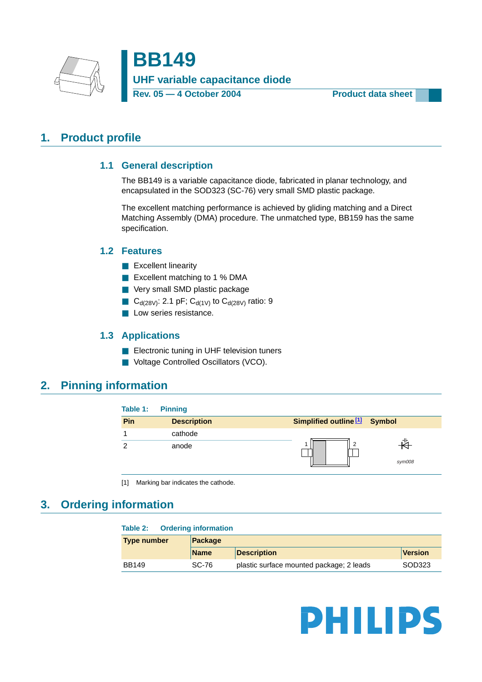

**BB149 UHF variable capacitance diode** Rev. 05 - 4 October 2004 **Product data sheet** 

# <span id="page-0-2"></span><span id="page-0-1"></span>**1. Product profile**

## **1.1 General description**

The BB149 is a variable capacitance diode, fabricated in planar technology, and encapsulated in the SOD323 (SC-76) very small SMD plastic package.

The excellent matching performance is achieved by gliding matching and a Direct Matching Assembly (DMA) procedure. The unmatched type, BB159 has the same specification.

## <span id="page-0-3"></span>**1.2 Features**

- Excellent linearity
- Excellent matching to 1 % DMA
- Very small SMD plastic package
- $C_{d(28V)}$ : 2.1 pF;  $C_{d(1V)}$  to  $C_{d(28V)}$  ratio: 9
- **L** Low series resistance.

## **1.3 Applications**

- Electronic tuning in UHF television tuners
- Voltage Controlled Oscillators (VCO).

## <span id="page-0-5"></span><span id="page-0-4"></span>**2. Pinning information**

| Table 1: | <b>Pinning</b>     |                                          |        |
|----------|--------------------|------------------------------------------|--------|
| Pin      | <b>Description</b> | Simplified outline <sup>[1]</sup> Symbol |        |
|          | cathode            |                                          |        |
|          | anode              |                                          | sym008 |

<span id="page-0-0"></span>[1] Marking bar indicates the cathode.

# <span id="page-0-6"></span>**3. Ordering information**

| Table 2:           | <b>Ordering information</b> |                                          |                |
|--------------------|-----------------------------|------------------------------------------|----------------|
| <b>Type number</b> | Package                     |                                          |                |
|                    | <b>Name</b>                 | <b>Description</b>                       | <b>Version</b> |
| <b>BB149</b>       | SC-76                       | plastic surface mounted package; 2 leads | SOD323         |

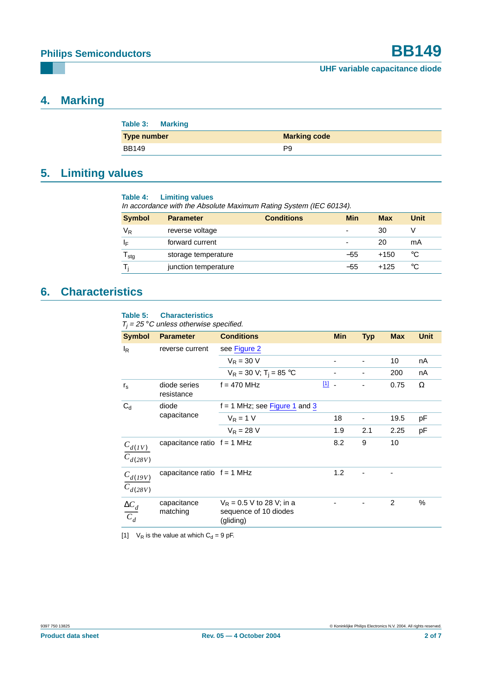# <span id="page-1-2"></span>**4. Marking**

| <b>Table 3: Marking</b> |                     |
|-------------------------|---------------------|
| <b>Type number</b>      | <b>Marking code</b> |
| BB149                   | P9                  |

# <span id="page-1-3"></span>**5. Limiting values**

**Table 4: Limiting values**

In accordance with the Absolute Maximum Rating System (IEC 60134).

| <b>Symbol</b>    | <b>Parameter</b>     | <b>Conditions</b> | Min                      | <b>Max</b> | Unit |
|------------------|----------------------|-------------------|--------------------------|------------|------|
| $V_{R}$          | reverse voltage      |                   | $\overline{\phantom{0}}$ | 30         |      |
| IF               | forward current      |                   | $\overline{\phantom{0}}$ | 20         | mA   |
| l <sub>stg</sub> | storage temperature  |                   | $-55$                    | $+150$     | °C   |
|                  | junction temperature |                   | $-55$                    | $+125$     | °C   |

# <span id="page-1-4"></span>**6. Characteristics**

#### <span id="page-1-1"></span>**Table 5: Characteristics**

| <b>Symbol</b>                           | <b>Parameter</b>              | <b>Conditions</b>                                                 |     | <b>Min</b> | <b>Typ</b> | <b>Max</b> | <b>Unit</b> |
|-----------------------------------------|-------------------------------|-------------------------------------------------------------------|-----|------------|------------|------------|-------------|
| l <sub>R</sub>                          | reverse current               | see Figure 2                                                      |     |            |            |            |             |
|                                         |                               | $V_R = 30 V$                                                      |     |            |            | 10         | nA          |
|                                         |                               | $V_R = 30 V; T_i = 85 °C$                                         |     |            |            | 200        | nA          |
| $r_{\rm s}$                             | diode series<br>resistance    | $f = 470$ MHz                                                     | 凹.  |            |            | 0.75       | Ω           |
| $C_d$                                   | diode<br>capacitance          | $f = 1$ MHz; see Figure 1 and 3                                   |     |            |            |            |             |
|                                         |                               | $V_R = 1 V$                                                       | 18  |            |            | 19.5       | рF          |
|                                         |                               | $V_R = 28 V$                                                      |     | 1.9        | 2.1        | 2.25       | pF          |
| $C_{d(IV)}$<br>$C_{d(28V)}$             | capacitance ratio $f = 1$ MHz |                                                                   | 8.2 |            | 9          | 10         |             |
| $C_{d(19V)}$<br>$\overline{C}_{d(28V)}$ | capacitance ratio $f = 1$ MHz |                                                                   |     | 1.2        |            |            |             |
| $\frac{\Delta C_d}{C_d}$                | capacitance<br>matching       | $V_R$ = 0.5 V to 28 V; in a<br>sequence of 10 diodes<br>(gliding) |     |            |            | 2          | %           |

<span id="page-1-0"></span>[1]  $V_R$  is the value at which  $C_d = 9$  pF.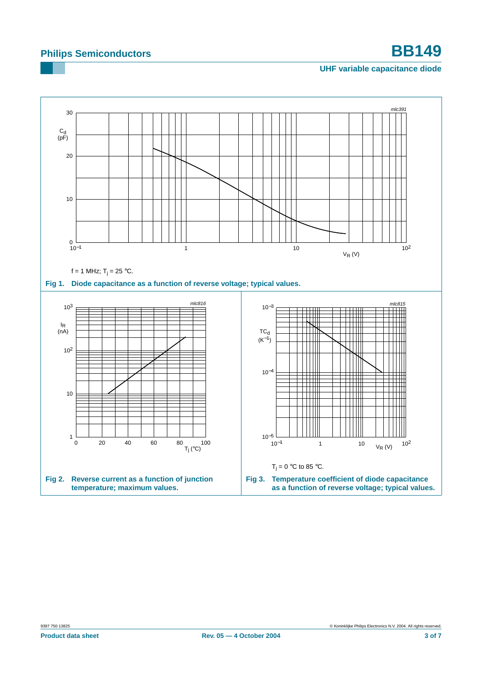# **Philips Semiconductors BB149**

### <span id="page-2-2"></span>**UHF variable capacitance diode**

<span id="page-2-1"></span><span id="page-2-0"></span>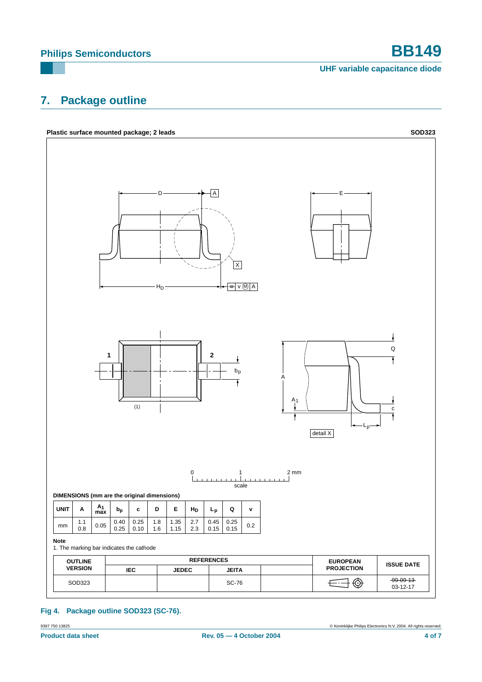# **Philips Semiconductors BB149**

**UHF variable capacitance diode**

# <span id="page-3-0"></span>**7. Package outline**



### **Fig 4. Package outline SOD323 (SC-76).**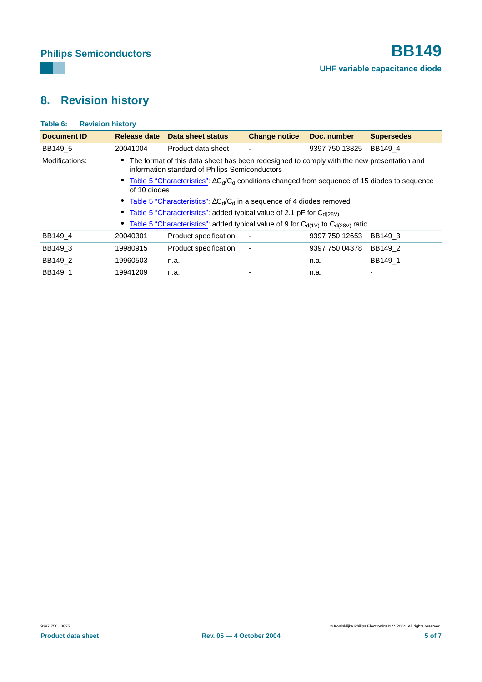# <span id="page-4-0"></span>**8. Revision history**

| Table 6:<br><b>Revision history</b> |              |                                                                                                                                               |                      |                |                   |
|-------------------------------------|--------------|-----------------------------------------------------------------------------------------------------------------------------------------------|----------------------|----------------|-------------------|
| <b>Document ID</b>                  | Release date | Data sheet status                                                                                                                             | <b>Change notice</b> | Doc. number    | <b>Supersedes</b> |
| BB149 5                             | 20041004     | Product data sheet                                                                                                                            |                      | 9397 750 13825 | BB149 4           |
| Modifications:                      |              | • The format of this data sheet has been redesigned to comply with the new presentation and<br>information standard of Philips Semiconductors |                      |                |                   |
|                                     | of 10 diodes | • Table 5 "Characteristics": $\Delta C_d/C_d$ conditions changed from sequence of 15 diodes to sequence                                       |                      |                |                   |
|                                     |              | • Table 5 "Characteristics": $\Delta C_d/C_d$ in a sequence of 4 diodes removed                                                               |                      |                |                   |
|                                     |              | • Table 5 "Characteristics": added typical value of 2.1 pF for $C_{d(28V)}$                                                                   |                      |                |                   |
|                                     |              | • Table 5 "Characteristics": added typical value of 9 for $C_{d(1)}$ to $C_{d(28)}$ ratio.                                                    |                      |                |                   |
| BB149 4                             | 20040301     | Product specification                                                                                                                         |                      | 9397 750 12653 | BB149 3           |
| BB149 3                             | 19980915     | Product specification                                                                                                                         |                      | 9397 750 04378 | BB149 2           |
| BB149 2                             | 19960503     | n.a.                                                                                                                                          |                      | n.a.           | BB149 1           |
| BB149 1                             | 19941209     | n.a.                                                                                                                                          |                      | n.a.           | ۰                 |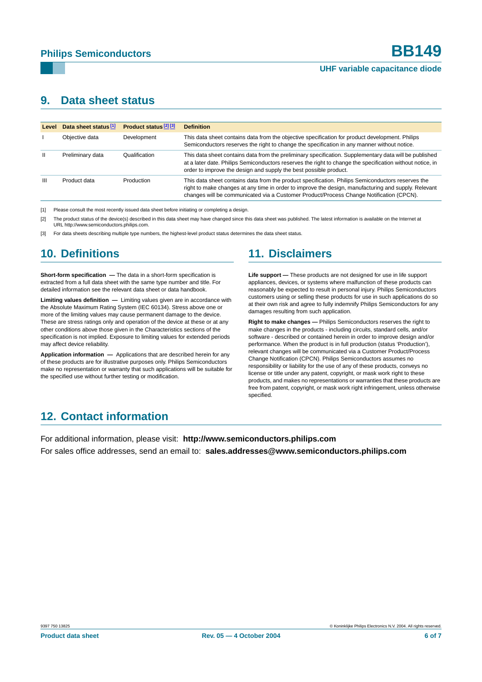## <span id="page-5-0"></span>**9. Data sheet status**

| Level | Data sheet status <sup>[1]</sup> | Product status <sup>[2][3]</sup> | <b>Definition</b>                                                                                                                                                                                                                                                                                    |
|-------|----------------------------------|----------------------------------|------------------------------------------------------------------------------------------------------------------------------------------------------------------------------------------------------------------------------------------------------------------------------------------------------|
|       | Objective data                   | Development                      | This data sheet contains data from the objective specification for product development. Philips<br>Semiconductors reserves the right to change the specification in any manner without notice.                                                                                                       |
| Ш     | Preliminary data                 | Qualification                    | This data sheet contains data from the preliminary specification. Supplementary data will be published<br>at a later date. Philips Semiconductors reserves the right to change the specification without notice, in<br>order to improve the design and supply the best possible product.             |
| Ш     | Product data                     | Production                       | This data sheet contains data from the product specification. Philips Semiconductors reserves the<br>right to make changes at any time in order to improve the design, manufacturing and supply. Relevant<br>changes will be communicated via a Customer Product/Process Change Notification (CPCN). |

[1] Please consult the most recently issued data sheet before initiating or completing a design.

[2] The product status of the device(s) described in this data sheet may have changed since this data sheet was published. The latest information is available on the Internet at URL http://www.semiconductors.philips.com.

[3] For data sheets describing multiple type numbers, the highest-level product status determines the data sheet status.

# <span id="page-5-1"></span>**10. Definitions**

**Short-form specification —** The data in a short-form specification is extracted from a full data sheet with the same type number and title. For detailed information see the relevant data sheet or data handbook.

**Limiting values definition —** Limiting values given are in accordance with the Absolute Maximum Rating System (IEC 60134). Stress above one or more of the limiting values may cause permanent damage to the device. These are stress ratings only and operation of the device at these or at any other conditions above those given in the Characteristics sections of the specification is not implied. Exposure to limiting values for extended periods may affect device reliability.

**Application information —** Applications that are described herein for any of these products are for illustrative purposes only. Philips Semiconductors make no representation or warranty that such applications will be suitable for the specified use without further testing or modification.

# <span id="page-5-2"></span>**11. Disclaimers**

**Life support —** These products are not designed for use in life support appliances, devices, or systems where malfunction of these products can reasonably be expected to result in personal injury. Philips Semiconductors customers using or selling these products for use in such applications do so at their own risk and agree to fully indemnify Philips Semiconductors for any damages resulting from such application.

**Right to make changes —** Philips Semiconductors reserves the right to make changes in the products - including circuits, standard cells, and/or software - described or contained herein in order to improve design and/or performance. When the product is in full production (status 'Production'), relevant changes will be communicated via a Customer Product/Process Change Notification (CPCN). Philips Semiconductors assumes no responsibility or liability for the use of any of these products, conveys no license or title under any patent, copyright, or mask work right to these products, and makes no representations or warranties that these products are free from patent, copyright, or mask work right infringement, unless otherwise specified.

# <span id="page-5-3"></span>**12. Contact information**

For additional information, please visit: **http://www.semiconductors.philips.com** For sales office addresses, send an email to: **sales.addresses@www.semiconductors.philips.com**